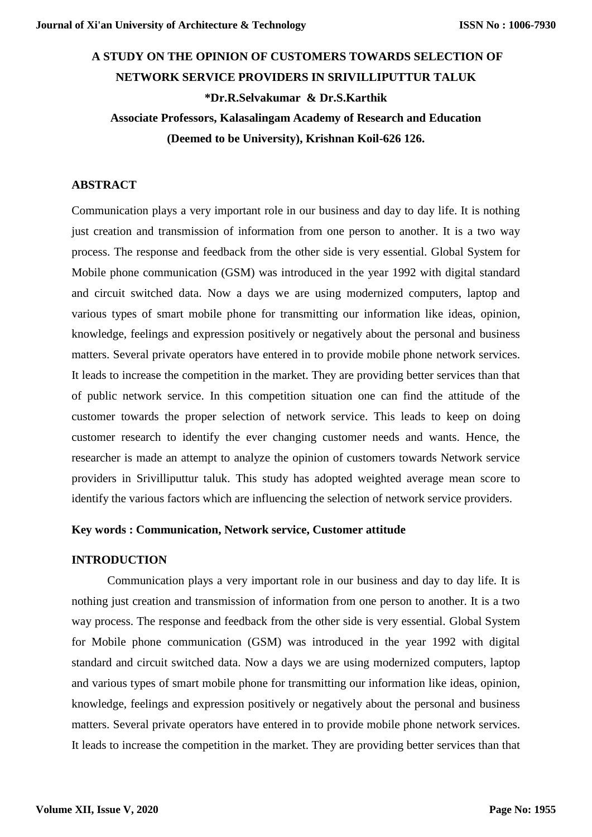# **A STUDY ON THE OPINION OF CUSTOMERS TOWARDS SELECTION OF NETWORK SERVICE PROVIDERS IN SRIVILLIPUTTUR TALUK \*Dr.R.Selvakumar & Dr.S.Karthik Associate Professors, Kalasalingam Academy of Research and Education**

**(Deemed to be University), Krishnan Koil-626 126.** 

# **ABSTRACT**

Communication plays a very important role in our business and day to day life. It is nothing just creation and transmission of information from one person to another. It is a two way process. The response and feedback from the other side is very essential. Global System for Mobile phone communication (GSM) was introduced in the year 1992 with digital standard and circuit switched data. Now a days we are using modernized computers, laptop and various types of smart mobile phone for transmitting our information like ideas, opinion, knowledge, feelings and expression positively or negatively about the personal and business matters. Several private operators have entered in to provide mobile phone network services. It leads to increase the competition in the market. They are providing better services than that of public network service. In this competition situation one can find the attitude of the customer towards the proper selection of network service. This leads to keep on doing customer research to identify the ever changing customer needs and wants. Hence, the researcher is made an attempt to analyze the opinion of customers towards Network service providers in Srivilliputtur taluk. This study has adopted weighted average mean score to identify the various factors which are influencing the selection of network service providers.

# **Key words : Communication, Network service, Customer attitude**

## **INTRODUCTION**

Communication plays a very important role in our business and day to day life. It is nothing just creation and transmission of information from one person to another. It is a two way process. The response and feedback from the other side is very essential. Global System for Mobile phone communication (GSM) was introduced in the year 1992 with digital standard and circuit switched data. Now a days we are using modernized computers, laptop and various types of smart mobile phone for transmitting our information like ideas, opinion, knowledge, feelings and expression positively or negatively about the personal and business matters. Several private operators have entered in to provide mobile phone network services. It leads to increase the competition in the market. They are providing better services than that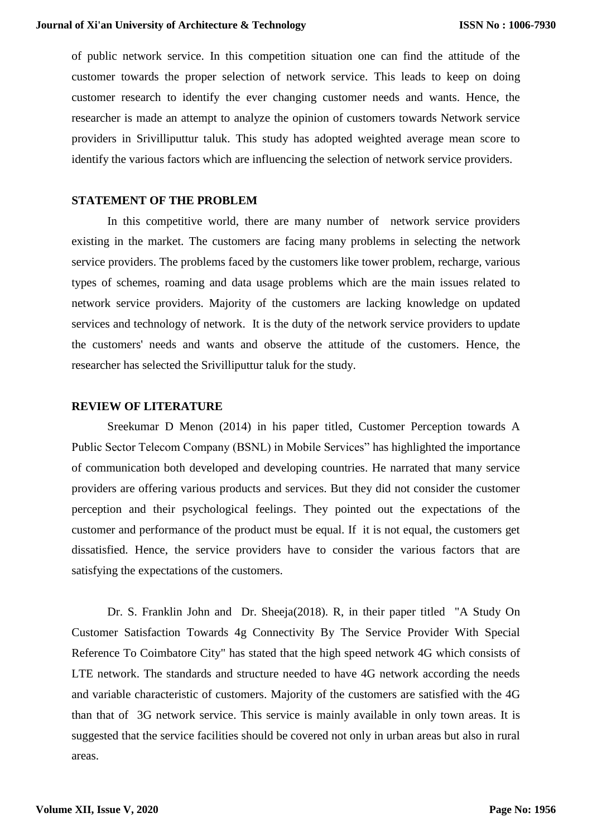of public network service. In this competition situation one can find the attitude of the customer towards the proper selection of network service. This leads to keep on doing customer research to identify the ever changing customer needs and wants. Hence, the researcher is made an attempt to analyze the opinion of customers towards Network service providers in Srivilliputtur taluk. This study has adopted weighted average mean score to identify the various factors which are influencing the selection of network service providers.

#### **STATEMENT OF THE PROBLEM**

In this competitive world, there are many number of network service providers existing in the market. The customers are facing many problems in selecting the network service providers. The problems faced by the customers like tower problem, recharge, various types of schemes, roaming and data usage problems which are the main issues related to network service providers. Majority of the customers are lacking knowledge on updated services and technology of network. It is the duty of the network service providers to update the customers' needs and wants and observe the attitude of the customers. Hence, the researcher has selected the Srivilliputtur taluk for the study.

#### **REVIEW OF LITERATURE**

Sreekumar D Menon (2014) in his paper titled, Customer Perception towards A Public Sector Telecom Company (BSNL) in Mobile Services" has highlighted the importance of communication both developed and developing countries. He narrated that many service providers are offering various products and services. But they did not consider the customer perception and their psychological feelings. They pointed out the expectations of the customer and performance of the product must be equal. If it is not equal, the customers get dissatisfied. Hence, the service providers have to consider the various factors that are satisfying the expectations of the customers.

Dr. S. Franklin John and Dr. Sheeja(2018). R, in their paper titled "A Study On Customer Satisfaction Towards 4g Connectivity By The Service Provider With Special Reference To Coimbatore City" has stated that the high speed network 4G which consists of LTE network. The standards and structure needed to have 4G network according the needs and variable characteristic of customers. Majority of the customers are satisfied with the 4G than that of 3G network service. This service is mainly available in only town areas. It is suggested that the service facilities should be covered not only in urban areas but also in rural areas.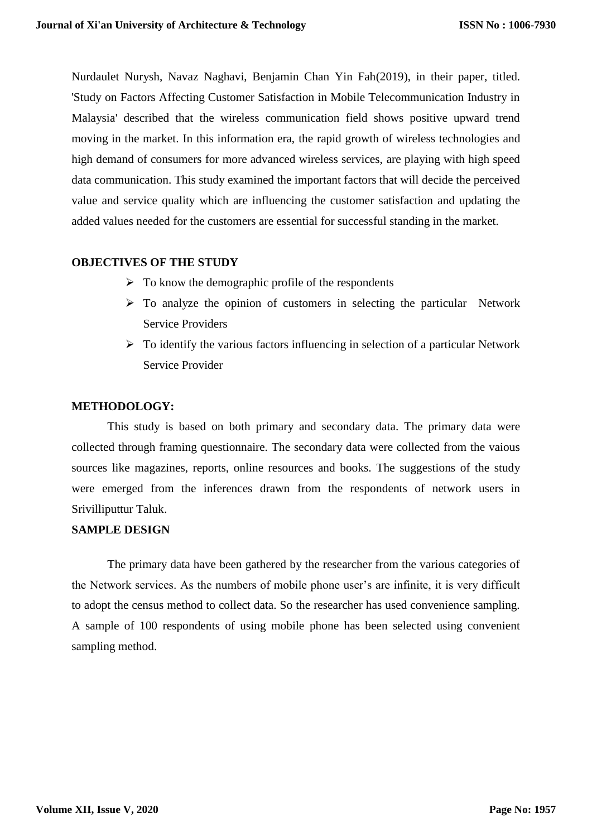Nurdaulet Nurysh, Navaz Naghavi, Benjamin Chan Yin Fah(2019), in their paper, titled. 'Study on Factors Affecting Customer Satisfaction in Mobile Telecommunication Industry in Malaysia' described that the wireless communication field shows positive upward trend moving in the market. In this information era, the rapid growth of wireless technologies and high demand of consumers for more advanced wireless services, are playing with high speed data communication. This study examined the important factors that will decide the perceived value and service quality which are influencing the customer satisfaction and updating the added values needed for the customers are essential for successful standing in the market.

## **OBJECTIVES OF THE STUDY**

- $\triangleright$  To know the demographic profile of the respondents
- $\triangleright$  To analyze the opinion of customers in selecting the particular Network Service Providers
- $\triangleright$  To identify the various factors influencing in selection of a particular Network Service Provider

#### **METHODOLOGY:**

This study is based on both primary and secondary data. The primary data were collected through framing questionnaire. The secondary data were collected from the vaious sources like magazines, reports, online resources and books. The suggestions of the study were emerged from the inferences drawn from the respondents of network users in Srivilliputtur Taluk.

# **SAMPLE DESIGN**

The primary data have been gathered by the researcher from the various categories of the Network services. As the numbers of mobile phone user's are infinite, it is very difficult to adopt the census method to collect data. So the researcher has used convenience sampling. A sample of 100 respondents of using mobile phone has been selected using convenient sampling method.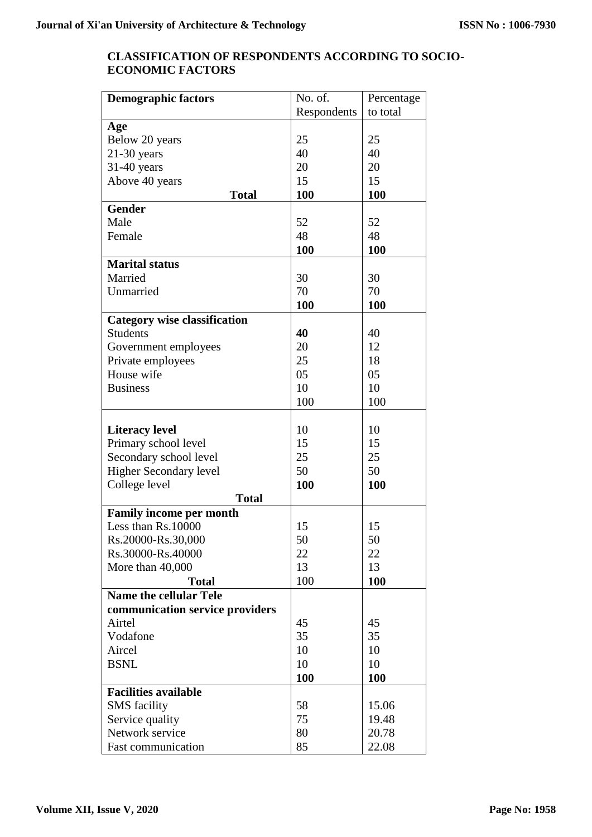# **CLASSIFICATION OF RESPONDENTS ACCORDING TO SOCIO-ECONOMIC FACTORS**

| <b>Demographic factors</b>          | No. of.     | Percentage |
|-------------------------------------|-------------|------------|
|                                     | Respondents | to total   |
| Age                                 |             |            |
| Below 20 years                      | 25          | 25         |
| $21-30$ years                       | 40          | 40         |
| 31-40 years                         | 20          | 20         |
| Above 40 years                      | 15          | 15         |
| <b>Total</b>                        | 100         | 100        |
| <b>Gender</b>                       |             |            |
| Male                                | 52          | 52         |
| Female                              | 48          | 48         |
|                                     | 100         | <b>100</b> |
| <b>Marital status</b>               |             |            |
| Married                             | 30          | 30         |
| Unmarried                           | 70          | 70         |
|                                     | 100         | 100        |
| <b>Category wise classification</b> |             |            |
| <b>Students</b>                     | 40          | 40         |
| Government employees                | 20          | 12         |
| Private employees                   | 25          | 18         |
| House wife                          | 05          | 05         |
| <b>Business</b>                     | 10          | 10         |
|                                     | 100         | 100        |
|                                     |             |            |
|                                     | 10          | 10         |
| <b>Literacy level</b>               | 15          | 15         |
| Primary school level                | 25          | 25         |
| Secondary school level              | 50          | 50         |
| <b>Higher Secondary level</b>       |             |            |
| College level                       | 100         | 100        |
| <b>Total</b>                        |             |            |
| <b>Family income per month</b>      |             |            |
| Less than Rs.10000                  | 15          | 15         |
| Rs.20000-Rs.30,000                  | 50          | 50         |
| Rs.30000-Rs.40000                   | 22          | 22         |
| More than 40,000                    | 13          | 13         |
| Total                               | 100         | 100        |
| <b>Name the cellular Tele</b>       |             |            |
| communication service providers     |             |            |
| Airtel                              | 45          | 45         |
| Vodafone                            | 35          | 35         |
| Aircel                              | 10          | 10         |
| <b>BSNL</b>                         | 10          | 10         |
|                                     | <b>100</b>  | <b>100</b> |
| <b>Facilities available</b>         |             |            |
| <b>SMS</b> facility                 | 58          | 15.06      |
| Service quality                     | 75          | 19.48      |
| Network service                     | 80          | 20.78      |
| <b>Fast communication</b>           | 85          | 22.08      |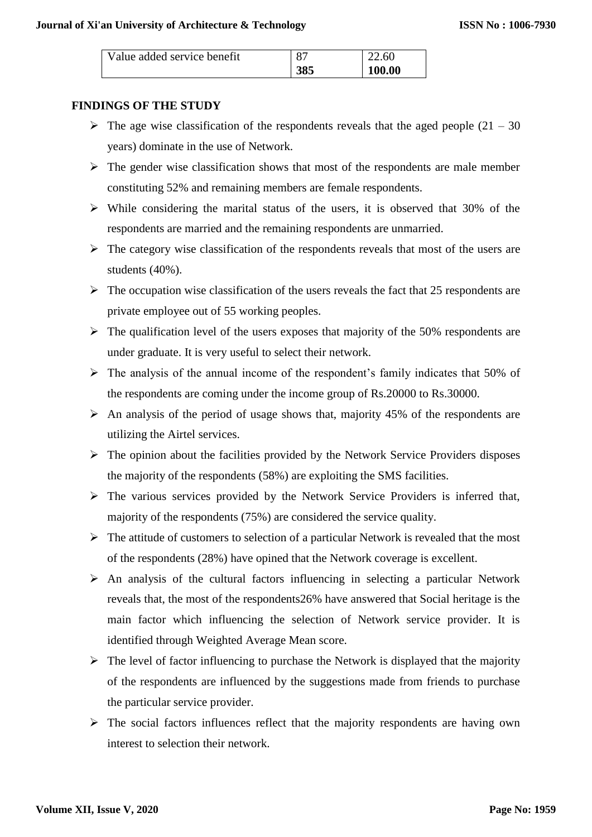| Value added service benefit | 87  | 22.60  |
|-----------------------------|-----|--------|
|                             | 385 | 100.00 |

# **FINDINGS OF THE STUDY**

- $\triangleright$  The age wise classification of the respondents reveals that the aged people (21 30) years) dominate in the use of Network.
- $\triangleright$  The gender wise classification shows that most of the respondents are male member constituting 52% and remaining members are female respondents.
- $\triangleright$  While considering the marital status of the users, it is observed that 30% of the respondents are married and the remaining respondents are unmarried.
- $\triangleright$  The category wise classification of the respondents reveals that most of the users are students (40%).
- $\triangleright$  The occupation wise classification of the users reveals the fact that 25 respondents are private employee out of 55 working peoples.
- $\triangleright$  The qualification level of the users exposes that majority of the 50% respondents are under graduate. It is very useful to select their network.
- $\triangleright$  The analysis of the annual income of the respondent's family indicates that 50% of the respondents are coming under the income group of Rs.20000 to Rs.30000.
- $\triangleright$  An analysis of the period of usage shows that, majority 45% of the respondents are utilizing the Airtel services.
- $\triangleright$  The opinion about the facilities provided by the Network Service Providers disposes the majority of the respondents (58%) are exploiting the SMS facilities.
- $\triangleright$  The various services provided by the Network Service Providers is inferred that, majority of the respondents (75%) are considered the service quality.
- $\triangleright$  The attitude of customers to selection of a particular Network is revealed that the most of the respondents (28%) have opined that the Network coverage is excellent.
- $\triangleright$  An analysis of the cultural factors influencing in selecting a particular Network reveals that, the most of the respondents26% have answered that Social heritage is the main factor which influencing the selection of Network service provider. It is identified through Weighted Average Mean score.
- $\triangleright$  The level of factor influencing to purchase the Network is displayed that the majority of the respondents are influenced by the suggestions made from friends to purchase the particular service provider.
- $\triangleright$  The social factors influences reflect that the majority respondents are having own interest to selection their network.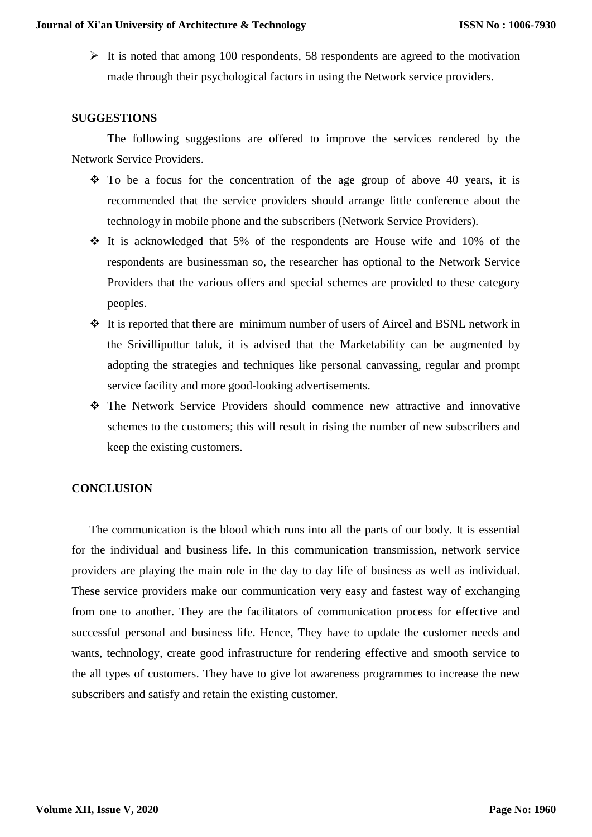$\triangleright$  It is noted that among 100 respondents, 58 respondents are agreed to the motivation made through their psychological factors in using the Network service providers.

#### **SUGGESTIONS**

The following suggestions are offered to improve the services rendered by the Network Service Providers.

- $\div$  To be a focus for the concentration of the age group of above 40 years, it is recommended that the service providers should arrange little conference about the technology in mobile phone and the subscribers (Network Service Providers).
- $\div$  It is acknowledged that 5% of the respondents are House wife and 10% of the respondents are businessman so, the researcher has optional to the Network Service Providers that the various offers and special schemes are provided to these category peoples.
- It is reported that there are minimum number of users of Aircel and BSNL network in the Srivilliputtur taluk, it is advised that the Marketability can be augmented by adopting the strategies and techniques like personal canvassing, regular and prompt service facility and more good-looking advertisements.
- The Network Service Providers should commence new attractive and innovative schemes to the customers; this will result in rising the number of new subscribers and keep the existing customers.

## **CONCLUSION**

The communication is the blood which runs into all the parts of our body. It is essential for the individual and business life. In this communication transmission, network service providers are playing the main role in the day to day life of business as well as individual. These service providers make our communication very easy and fastest way of exchanging from one to another. They are the facilitators of communication process for effective and successful personal and business life. Hence, They have to update the customer needs and wants, technology, create good infrastructure for rendering effective and smooth service to the all types of customers. They have to give lot awareness programmes to increase the new subscribers and satisfy and retain the existing customer.